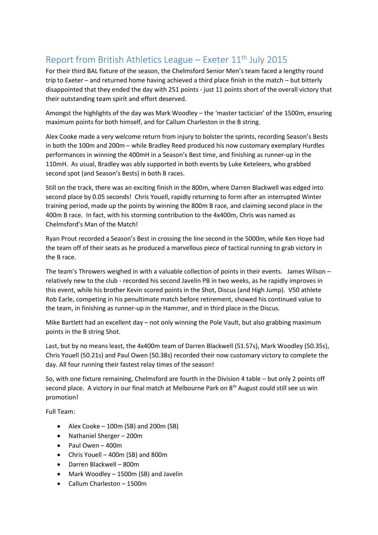## Report from British Athletics League – Exeter  $11<sup>th</sup>$  July 2015

For their third BAL fixture of the season, the Chelmsford Senior Men's team faced a lengthy round trip to Exeter – and returned home having achieved a third place finish in the match – but bitterly disappointed that they ended the day with 251 points - just 11 points short of the overall victory that their outstanding team spirit and effort deserved.

Amongst the highlights of the day was Mark Woodley – the 'master tactician' of the 1500m, ensuring maximum points for both himself, and for Callum Charleston in the B string.

Alex Cooke made a very welcome return from injury to bolster the sprints, recording Season's Bests in both the 100m and 200m – while Bradley Reed produced his now customary exemplary Hurdles performances in winning the 400mH in a Season's Best time, and finishing as runner-up in the 110mH. As usual, Bradley was ably supported in both events by Luke Keteleers, who grabbed second spot (and Season's Bests) in both B races.

Still on the track, there was an exciting finish in the 800m, where Darren Blackwell was edged into second place by 0.05 seconds! Chris Youell, rapidly returning to form after an interrupted Winter training period, made up the points by winning the 800m B race, and claiming second place in the 400m B race. In fact, with his storming contribution to the 4x400m, Chris was named as Chelmsford's Man of the Match!

Ryan Prout recorded a Season's Best in crossing the line second in the 5000m, while Ken Hoye had the team off of their seats as he produced a marvellous piece of tactical running to grab victory in the B race.

The team's Throwers weighed in with a valuable collection of points in their events. James Wilson – relatively new to the club - recorded his second Javelin PB in two weeks, as he rapidly improves in this event, while his brother Kevin scored points in the Shot, Discus (and High Jump). V50 athlete Rob Earle, competing in his penultimate match before retirement, showed his continued value to the team, in finishing as runner-up in the Hammer, and in third place in the Discus.

Mike Bartlett had an excellent day – not only winning the Pole Vault, but also grabbing maximum points in the B string Shot.

Last, but by no means least, the 4x400m team of Darren Blackwell (51.57s), Mark Woodley (50.35s), Chris Youell (50.21s) and Paul Owen (50.38s) recorded their now customary victory to complete the day. All four running their fastest relay times of the season!

So, with one fixture remaining, Chelmsford are fourth in the Division 4 table – but only 2 points off second place. A victory in our final match at Melbourne Park on 8<sup>th</sup> August could still see us win promotion!

Full Team:

- Alex Cooke  $-100$ m (SB) and 200m (SB)
- Nathaniel Sherger 200m
- Paul Owen 400m
- Chris Youell 400m (SB) and 800m
- Darren Blackwell 800m
- Mark Woodley 1500m (SB) and Javelin
- Callum Charleston 1500m